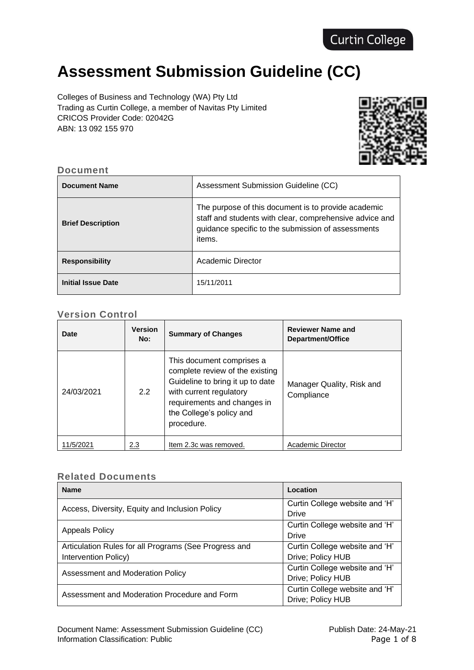# **Assessment Submission Guideline (CC)**

Colleges of Business and Technology (WA) Pty Ltd Trading as Curtin College, a member of Navitas Pty Limited CRICOS Provider Code: 02042G ABN: 13 092 155 970



#### **Document**

| <b>Document Name</b>      | Assessment Submission Guideline (CC)                                                                                                                                           |
|---------------------------|--------------------------------------------------------------------------------------------------------------------------------------------------------------------------------|
| <b>Brief Description</b>  | The purpose of this document is to provide academic<br>staff and students with clear, comprehensive advice and<br>guidance specific to the submission of assessments<br>items. |
| <b>Responsibility</b>     | Academic Director                                                                                                                                                              |
| <b>Initial Issue Date</b> | 15/11/2011                                                                                                                                                                     |

# **Version Control**

| Date       | <b>Version</b><br>No: | <b>Summary of Changes</b>                                                                                                                                                                            | <b>Reviewer Name and</b><br>Department/Office |
|------------|-----------------------|------------------------------------------------------------------------------------------------------------------------------------------------------------------------------------------------------|-----------------------------------------------|
| 24/03/2021 | 2.2                   | This document comprises a<br>complete review of the existing<br>Guideline to bring it up to date<br>with current regulatory<br>requirements and changes in<br>the College's policy and<br>procedure. | Manager Quality, Risk and<br>Compliance       |
| 1/5/2021   | 2.3                   | Item 2.3c was removed.                                                                                                                                                                               | Academic Director                             |

## **Related Documents**

| <b>Name</b>                                           | Location                       |
|-------------------------------------------------------|--------------------------------|
| Access, Diversity, Equity and Inclusion Policy        | Curtin College website and 'H' |
|                                                       | Drive                          |
| <b>Appeals Policy</b>                                 | Curtin College website and 'H' |
|                                                       | Drive                          |
| Articulation Rules for all Programs (See Progress and | Curtin College website and 'H' |
| Intervention Policy)                                  | Drive; Policy HUB              |
| Assessment and Moderation Policy                      | Curtin College website and 'H' |
|                                                       | Drive; Policy HUB              |
| Assessment and Moderation Procedure and Form          | Curtin College website and 'H' |
|                                                       | Drive; Policy HUB              |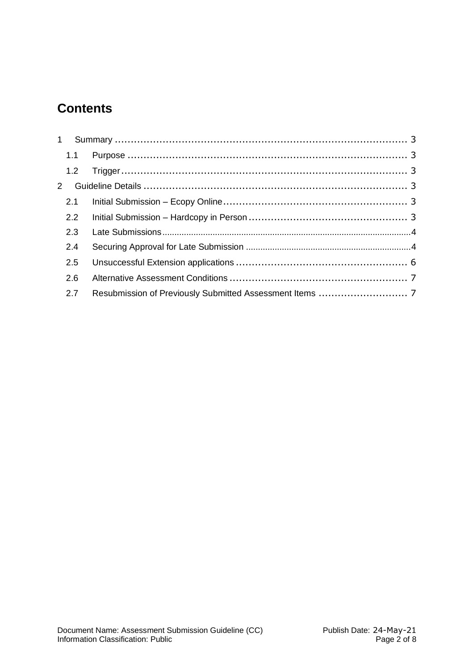# **Contents**

| 1.2           |  |
|---------------|--|
|               |  |
| 2.1           |  |
| $2.2^{\circ}$ |  |
| 2.3           |  |
| 2.4           |  |
| 2.5           |  |
| 2.6           |  |
| 2.7           |  |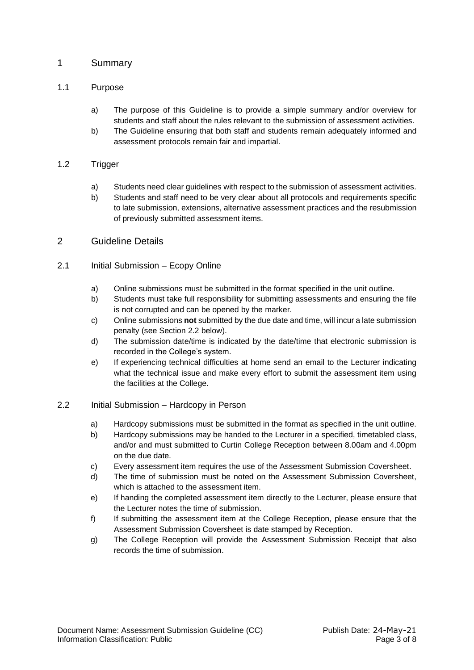### <span id="page-2-0"></span>1 Summary

#### <span id="page-2-1"></span>1.1 Purpose

- a) The purpose of this Guideline is to provide a simple summary and/or overview for students and staff about the rules relevant to the submission of assessment activities.
- b) The Guideline ensuring that both staff and students remain adequately informed and assessment protocols remain fair and impartial.

#### <span id="page-2-2"></span>1.2 Trigger

- a) Students need clear guidelines with respect to the submission of assessment activities.
- b) Students and staff need to be very clear about all protocols and requirements specific to late submission, extensions, alternative assessment practices and the resubmission of previously submitted assessment items.

# <span id="page-2-3"></span>2 Guideline Details

#### <span id="page-2-4"></span>2.1 Initial Submission – Ecopy Online

- a) Online submissions must be submitted in the format specified in the unit outline.
- b) Students must take full responsibility for submitting assessments and ensuring the file is not corrupted and can be opened by the marker.
- c) Online submissions **not** submitted by the due date and time, will incur a late submission penalty (see Section 2.2 below).
- d) The submission date/time is indicated by the date/time that electronic submission is recorded in the College's system.
- e) If experiencing technical difficulties at home send an email to the Lecturer indicating what the technical issue and make every effort to submit the assessment item using the facilities at the College.

#### <span id="page-2-5"></span>2.2 Initial Submission – Hardcopy in Person

- a) Hardcopy submissions must be submitted in the format as specified in the unit outline.
- b) Hardcopy submissions may be handed to the Lecturer in a specified, timetabled class, and/or and must submitted to Curtin College Reception between 8.00am and 4.00pm on the due date.
- c) Every assessment item requires the use of the Assessment Submission Coversheet.
- d) The time of submission must be noted on the Assessment Submission Coversheet, which is attached to the assessment item.
- e) If handing the completed assessment item directly to the Lecturer, please ensure that the Lecturer notes the time of submission.
- f) If submitting the assessment item at the College Reception, please ensure that the Assessment Submission Coversheet is date stamped by Reception.
- g) The College Reception will provide the Assessment Submission Receipt that also records the time of submission.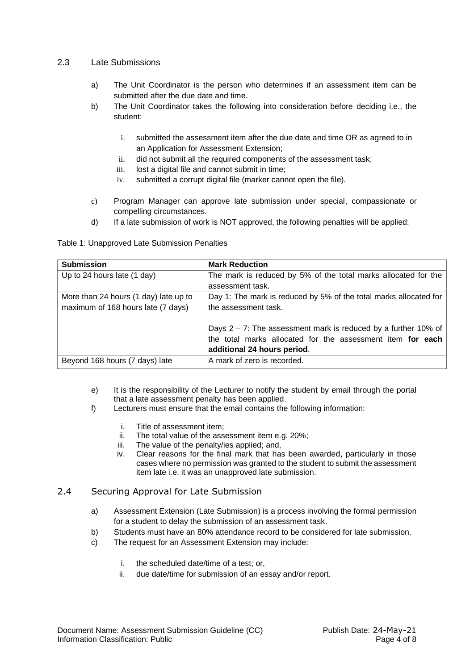#### <span id="page-3-0"></span>2.3 Late Submissions

- a) The Unit Coordinator is the person who determines if an assessment item can be submitted after the due date and time.
- b) The Unit Coordinator takes the following into consideration before deciding i.e., the student:
	- i. submitted the assessment item after the due date and time OR as agreed to in an Application for Assessment Extension;
	- ii. did not submit all the required components of the assessment task;
	- iii. lost a digital file and cannot submit in time;
	- iv. submitted a corrupt digital file (marker cannot open the file).
- c) Program Manager can approve late submission under special, compassionate or compelling circumstances.
- d) If a late submission of work is NOT approved, the following penalties will be applied:

Table 1: Unapproved Late Submission Penalties

| <b>Submission</b>                     | <b>Mark Reduction</b>                                             |
|---------------------------------------|-------------------------------------------------------------------|
| Up to 24 hours late (1 day)           | The mark is reduced by 5% of the total marks allocated for the    |
|                                       | assessment task.                                                  |
| More than 24 hours (1 day) late up to | Day 1: The mark is reduced by 5% of the total marks allocated for |
| maximum of 168 hours late (7 days)    | the assessment task.                                              |
|                                       |                                                                   |
|                                       | Days $2 - 7$ : The assessment mark is reduced by a further 10% of |
|                                       | the total marks allocated for the assessment item for each        |
|                                       | additional 24 hours period.                                       |
| Beyond 168 hours (7 days) late        | A mark of zero is recorded.                                       |

- e) It is the responsibility of the Lecturer to notify the student by email through the portal that a late assessment penalty has been applied.
- f) Lecturers must ensure that the email contains the following information:
	- i. Title of assessment item;
	- ii. The total value of the assessment item e.g. 20%;
	- iii. The value of the penalty/ies applied; and,
	- iv. Clear reasons for the final mark that has been awarded, particularly in those cases where no permission was granted to the student to submit the assessment item late i.e. it was an unapproved late submission.

#### <span id="page-3-1"></span>2.4 Securing Approval for Late Submission

- a) Assessment Extension (Late Submission) is a process involving the formal permission for a student to delay the submission of an assessment task.
- b) Students must have an 80% attendance record to be considered for late submission.
- c) The request for an Assessment Extension may include:
	- i. the scheduled date/time of a test; or,
	- ii. due date/time for submission of an essay and/or report.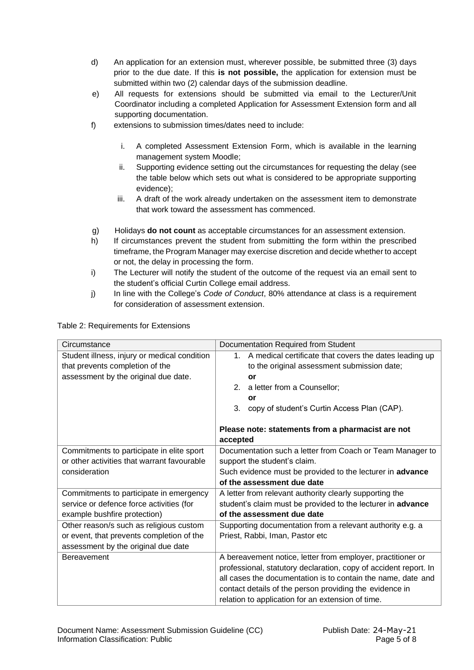- d) An application for an extension must, wherever possible, be submitted three (3) days prior to the due date. If this **is not possible,** the application for extension must be submitted within two (2) calendar days of the submission deadline.
- e) All requests for extensions should be submitted via email to the Lecturer/Unit Coordinator including a completed Application for Assessment Extension form and all supporting documentation.
- f) extensions to submission times/dates need to include:
	- i. A completed Assessment Extension Form, which is available in the learning management system Moodle;
	- ii. Supporting evidence setting out the circumstances for requesting the delay (see the table below which sets out what is considered to be appropriate supporting evidence);
	- iii. A draft of the work already undertaken on the assessment item to demonstrate that work toward the assessment has commenced.
- g) Holidays **do not count** as acceptable circumstances for an assessment extension.
- h) If circumstances prevent the student from submitting the form within the prescribed timeframe, the Program Manager may exercise discretion and decide whether to accept or not, the delay in processing the form.
- i) The Lecturer will notify the student of the outcome of the request via an email sent to the student's official Curtin College email address.
- j) In line with the College's *Code of Conduct*, 80% attendance at class is a requirement for consideration of assessment extension.

| Circumstance                                 | Documentation Required from Student                               |
|----------------------------------------------|-------------------------------------------------------------------|
| Student illness, injury or medical condition | A medical certificate that covers the dates leading up<br>$1_{-}$ |
| that prevents completion of the              | to the original assessment submission date;                       |
| assessment by the original due date.         | or                                                                |
|                                              | a letter from a Counsellor;<br>2.                                 |
|                                              | or                                                                |
|                                              | copy of student's Curtin Access Plan (CAP).<br>3 <sub>1</sub>     |
|                                              |                                                                   |
|                                              | Please note: statements from a pharmacist are not                 |
|                                              | accepted                                                          |
| Commitments to participate in elite sport    | Documentation such a letter from Coach or Team Manager to         |
| or other activities that warrant favourable  | support the student's claim.                                      |
| consideration                                | Such evidence must be provided to the lecturer in advance         |
|                                              | of the assessment due date                                        |
| Commitments to participate in emergency      | A letter from relevant authority clearly supporting the           |
| service or defence force activities (for     | student's claim must be provided to the lecturer in advance       |
| example bushfire protection)                 | of the assessment due date                                        |
| Other reason/s such as religious custom      | Supporting documentation from a relevant authority e.g. a         |
| or event, that prevents completion of the    | Priest, Rabbi, Iman, Pastor etc                                   |
| assessment by the original due date          |                                                                   |
| <b>Bereavement</b>                           | A bereavement notice, letter from employer, practitioner or       |
|                                              | professional, statutory declaration, copy of accident report. In  |
|                                              | all cases the documentation is to contain the name, date and      |
|                                              | contact details of the person providing the evidence in           |
|                                              | relation to application for an extension of time.                 |

Table 2: Requirements for Extensions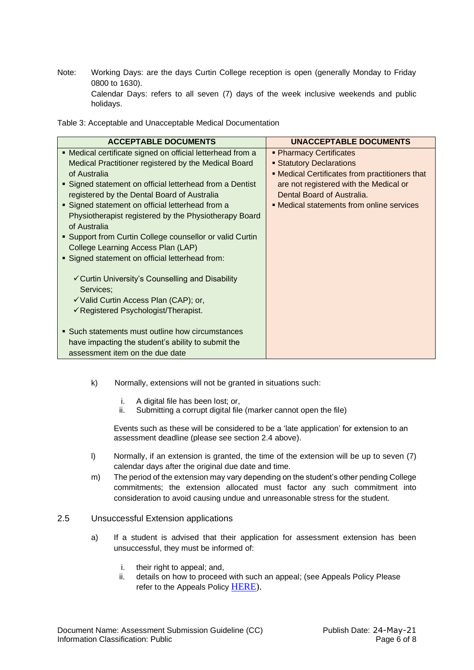Note: Working Days: are the days Curtin College reception is open (generally Monday to Friday 0800 to 1630).

Calendar Days: refers to all seven (7) days of the week inclusive weekends and public holidays.

Table 3: Acceptable and Unacceptable Medical Documentation

| <b>ACCEPTABLE DOCUMENTS</b>                                | <b>UNACCEPTABLE DOCUMENTS</b>                  |
|------------------------------------------------------------|------------------------------------------------|
| • Medical certificate signed on official letterhead from a | • Pharmacy Certificates                        |
| Medical Practitioner registered by the Medical Board       | <b>Statutory Declarations</b>                  |
| of Australia                                               | • Medical Certificates from practitioners that |
| • Signed statement on official letterhead from a Dentist   | are not registered with the Medical or         |
| registered by the Dental Board of Australia                | Dental Board of Australia.                     |
| Signed statement on official letterhead from a             | • Medical statements from online services      |
| Physiotherapist registered by the Physiotherapy Board      |                                                |
| of Australia                                               |                                                |
| • Support from Curtin College counsellor or valid Curtin   |                                                |
| College Learning Access Plan (LAP)                         |                                                |
| • Signed statement on official letterhead from:            |                                                |
|                                                            |                                                |
| ✓ Curtin University's Counselling and Disability           |                                                |
| Services;                                                  |                                                |
| √Valid Curtin Access Plan (CAP); or,                       |                                                |
| $\checkmark$ Registered Psychologist/Therapist.            |                                                |
|                                                            |                                                |
| • Such statements must outline how circumstances           |                                                |
| have impacting the student's ability to submit the         |                                                |
| assessment item on the due date                            |                                                |

- k) Normally, extensions will not be granted in situations such:
	- i. A digital file has been lost; or,
	- ii. Submitting a corrupt digital file (marker cannot open the file)

Events such as these will be considered to be a 'late application' for extension to an assessment deadline (please see section 2.4 above).

- l) Normally, if an extension is granted, the time of the extension will be up to seven (7) calendar days after the original due date and time.
- m) The period of the extension may vary depending on the student's other pending College commitments; the extension allocated must factor any such commitment into consideration to avoid causing undue and unreasonable stress for the student.

#### <span id="page-5-0"></span>2.5 Unsuccessful Extension applications

- a) If a student is advised that their application for assessment extension has been unsuccessful, they must be informed of:
	- i. their right to appeal; and,
	- ii. details on how to proceed with such an appeal; (see Appeals Policy Please refer to the Appeals Policy [HERE\)](https://www.curtincollege.edu.au/wp-content/uploads/2021/02/Appeals-Policy-QBIPO019.pdf).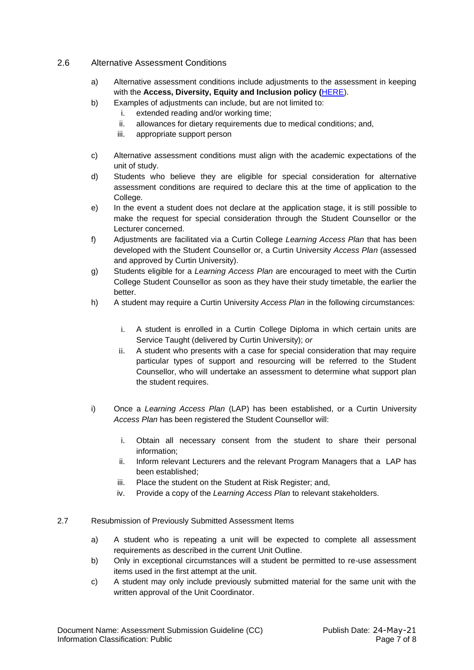- <span id="page-6-0"></span>2.6 Alternative Assessment Conditions
	- a) Alternative assessment conditions include adjustments to the assessment in keeping with the **Access, Diversity, Equity and Inclusion policy (**[HERE\)](https://www.curtincollege.edu.au/wp-content/uploads/2020/05/Access-Diversity-Equity-and-Inclusion-Policy-QHRPO020-1.pdf).
	- b) Examples of adjustments can include, but are not limited to:
		- i. extended reading and/or working time;
		- ii. allowances for dietary requirements due to medical conditions; and,
		- iii. appropriate support person
	- c) Alternative assessment conditions must align with the academic expectations of the unit of study.
	- d) Students who believe they are eligible for special consideration for alternative assessment conditions are required to declare this at the time of application to the College.
	- e) In the event a student does not declare at the application stage, it is still possible to make the request for special consideration through the Student Counsellor or the Lecturer concerned.
	- f) Adjustments are facilitated via a Curtin College *Learning Access Plan* that has been developed with the Student Counsellor or, a Curtin University *Access Plan* (assessed and approved by Curtin University).
	- g) Students eligible for a *Learning Access Plan* are encouraged to meet with the Curtin College Student Counsellor as soon as they have their study timetable, the earlier the better.
	- h) A student may require a Curtin University *Access Plan* in the following circumstances:
		- i. A student is enrolled in a Curtin College Diploma in which certain units are Service Taught (delivered by Curtin University); *or*
		- ii. A student who presents with a case for special consideration that may require particular types of support and resourcing will be referred to the Student Counsellor, who will undertake an assessment to determine what support plan the student requires.
	- i) Once a *Learning Access Plan* (LAP) has been established, or a Curtin University *Access Plan* has been registered the Student Counsellor will:
		- i. Obtain all necessary consent from the student to share their personal information;
		- ii. Inform relevant Lecturers and the relevant Program Managers that a LAP has been established;
		- iii. Place the student on the Student at Risk Register: and,
		- iv. Provide a copy of the *Learning Access Plan* to relevant stakeholders.
- <span id="page-6-1"></span>2.7 Resubmission of Previously Submitted Assessment Items
	- a) A student who is repeating a unit will be expected to complete all assessment requirements as described in the current Unit Outline.
	- b) Only in exceptional circumstances will a student be permitted to re-use assessment items used in the first attempt at the unit.
	- c) A student may only include previously submitted material for the same unit with the written approval of the Unit Coordinator.